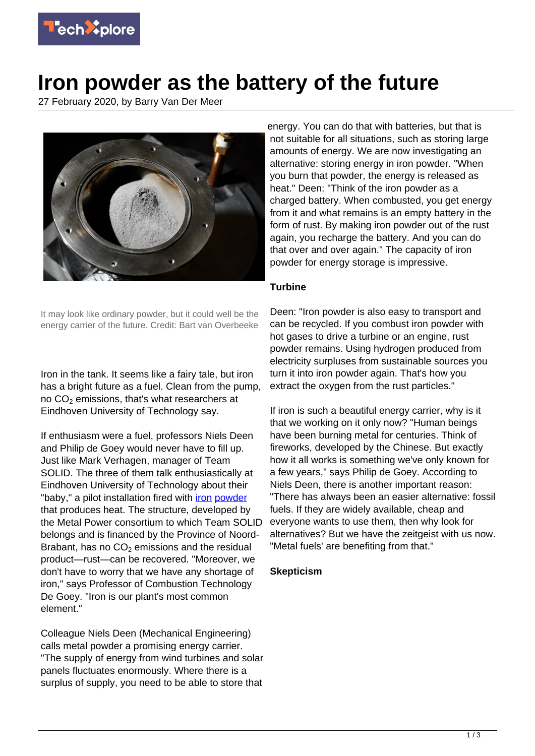

## **Iron powder as the battery of the future**

27 February 2020, by Barry Van Der Meer



energy. You can do that with batteries, but that is not suitable for all situations, such as storing large amounts of energy. We are now investigating an alternative: storing energy in iron powder. "When you burn that powder, the energy is released as heat." Deen: "Think of the iron powder as a charged battery. When combusted, you get energy from it and what remains is an empty battery in the form of rust. By making iron powder out of the rust again, you recharge the battery. And you can do that over and over again." The capacity of iron powder for energy storage is impressive.

## **Turbine**

It may look like ordinary powder, but it could well be the energy carrier of the future. Credit: Bart van Overbeeke

Iron in the tank. It seems like a fairy tale, but iron has a bright future as a fuel. Clean from the pump, no CO $_2$  emissions, that's what researchers at Eindhoven University of Technology say.

If enthusiasm were a fuel, professors Niels Deen and Philip de Goey would never have to fill up. Just like Mark Verhagen, manager of Team SOLID. The three of them talk enthusiastically at Eindhoven University of Technology about their "baby," a pilot installation fired with *[iron](https://techxplore.com/tags/iron/) [powder](https://techxplore.com/tags/powder/)* that produces heat. The structure, developed by the Metal Power consortium to which Team SOLID belongs and is financed by the Province of Noord-Brabant, has no CO $_2$  emissions and the residual product—rust—can be recovered. "Moreover, we don't have to worry that we have any shortage of iron," says Professor of Combustion Technology De Goey. "Iron is our plant's most common element."

Colleague Niels Deen (Mechanical Engineering) calls metal powder a promising energy carrier. "The supply of energy from wind turbines and solar panels fluctuates enormously. Where there is a surplus of supply, you need to be able to store that

Deen: "Iron powder is also easy to transport and can be recycled. If you combust iron powder with hot gases to drive a turbine or an engine, rust powder remains. Using hydrogen produced from electricity surpluses from sustainable sources you turn it into iron powder again. That's how you extract the oxygen from the rust particles."

If iron is such a beautiful energy carrier, why is it that we working on it only now? "Human beings have been burning metal for centuries. Think of fireworks, developed by the Chinese. But exactly how it all works is something we've only known for a few years," says Philip de Goey. According to Niels Deen, there is another important reason: "There has always been an easier alternative: fossil fuels. If they are widely available, cheap and everyone wants to use them, then why look for alternatives? But we have the zeitgeist with us now. "Metal fuels' are benefiting from that."

## **Skepticism**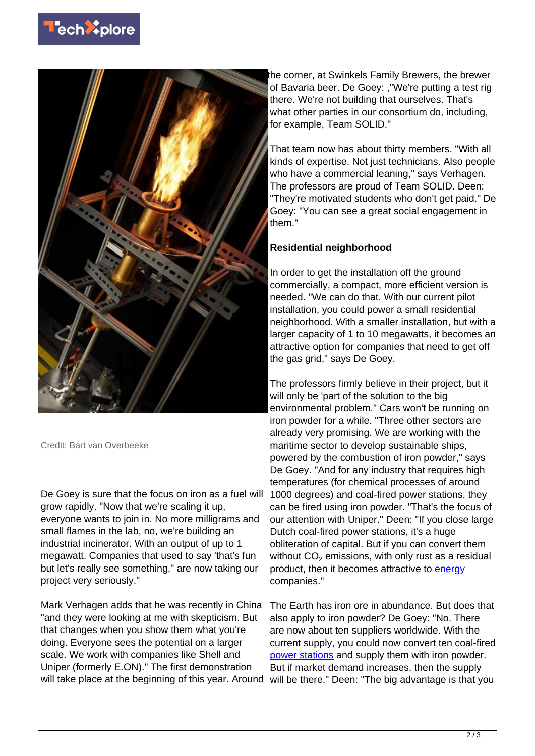



Credit: Bart van Overbeeke

De Goey is sure that the focus on iron as a fuel will grow rapidly. "Now that we're scaling it up, everyone wants to join in. No more milligrams and small flames in the lab, no, we're building an industrial incinerator. With an output of up to 1 megawatt. Companies that used to say 'that's fun but let's really see something," are now taking our project very seriously."

Mark Verhagen adds that he was recently in China "and they were looking at me with skepticism. But that changes when you show them what you're doing. Everyone sees the potential on a larger scale. We work with companies like Shell and Uniper (formerly E.ON)." The first demonstration will take place at the beginning of this year. Around will be there." Deen: "The big advantage is that you

the corner, at Swinkels Family Brewers, the brewer of Bavaria beer. De Goey: ,"We're putting a test rig there. We're not building that ourselves. That's what other parties in our consortium do, including, for example, Team SOLID."

That team now has about thirty members. "With all kinds of expertise. Not just technicians. Also people who have a commercial leaning," says Verhagen. The professors are proud of Team SOLID. Deen: "They're motivated students who don't get paid." De Goey: "You can see a great social engagement in them."

## **Residential neighborhood**

In order to get the installation off the ground commercially, a compact, more efficient version is needed. "We can do that. With our current pilot installation, you could power a small residential neighborhood. With a smaller installation, but with a larger capacity of 1 to 10 megawatts, it becomes an attractive option for companies that need to get off the gas grid," says De Goey.

The professors firmly believe in their project, but it will only be 'part of the solution to the big environmental problem." Cars won't be running on iron powder for a while. "Three other sectors are already very promising. We are working with the maritime sector to develop sustainable ships, powered by the combustion of iron powder," says De Goey. "And for any industry that requires high temperatures (for chemical processes of around 1000 degrees) and coal-fired power stations, they can be fired using iron powder. "That's the focus of our attention with Uniper." Deen: "If you close large Dutch coal-fired power stations, it's a huge obliteration of capital. But if you can convert them without  $\mathsf{CO}_2$  emissions, with only rust as a residual product, then it becomes attractive to **[energy](https://techxplore.com/tags/energy/)** companies."

The Earth has iron ore in abundance. But does that also apply to iron powder? De Goey: "No. There are now about ten suppliers worldwide. With the current supply, you could now convert ten coal-fired [power stations](https://techxplore.com/tags/power+stations/) and supply them with iron powder. But if market demand increases, then the supply